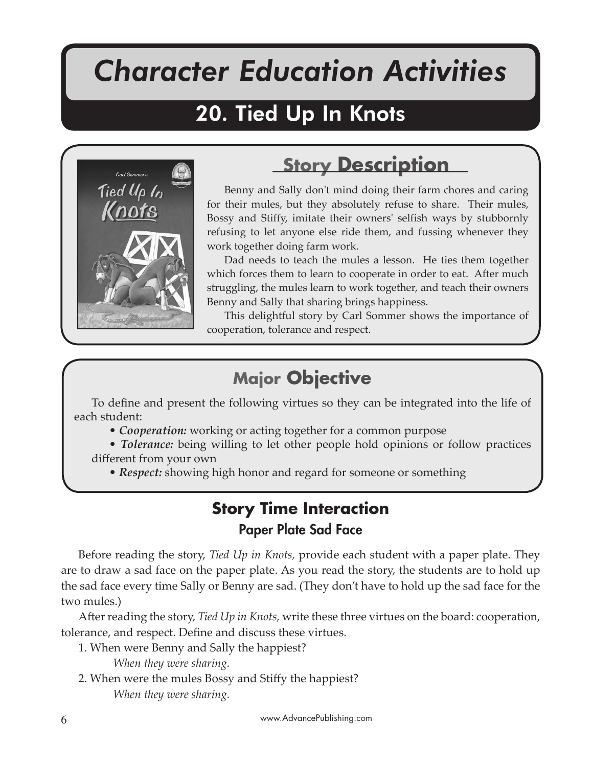# *Character Education Activities*

Tied Up In Knots

# 20. Tied Up In Knots



## **Story Description**

Benny and Sally don't mind doing their farm chores and caring for their mules, but they absolutely refuse to share. Their mules, Bossy and Stiffy, imitate their owners' selfish ways by stubbornly refusing to let anyone else ride them, and fussing whenever they work together doing farm work.

Dad needs to teach the mules a lesson. He ties them together which forces them to learn to cooperate in order to eat. After much struggling, the mules learn to work together, and teach their owners Benny and Sally that sharing brings happiness.

This delightful story by Carl Sommer shows the importance of cooperation, tolerance and respect.

### **Major Objective**

To define and present the following virtues so they can be integrated into the life of each student:

- *Cooperation:* working or acting together for a common purpose
- *Tolerance:* being willing to let other people hold opinions or follow practices different from your own
	- *Respect:* showing high honor and regard for someone or something

### **Story Time Interaction** Paper Plate Sad Face

Before reading the story, *Tied Up in Knots,* provide each student with a paper plate. They are to draw a sad face on the paper plate. As you read the story, the students are to hold up the sad face every time Sally or Benny are sad. (They don't have to hold up the sad face for the two mules.)

A�er reading the story, *Tied Up in Knots,* write these three virtues on the board: cooperation, tolerance, and respect. Define and discuss these virtues.

- 1. When were Benny and Sally the happiest?
	- *When they were sharing.*
- 2. When were the mules Bossy and Stiffy the happiest?
	- *When they were sharing.*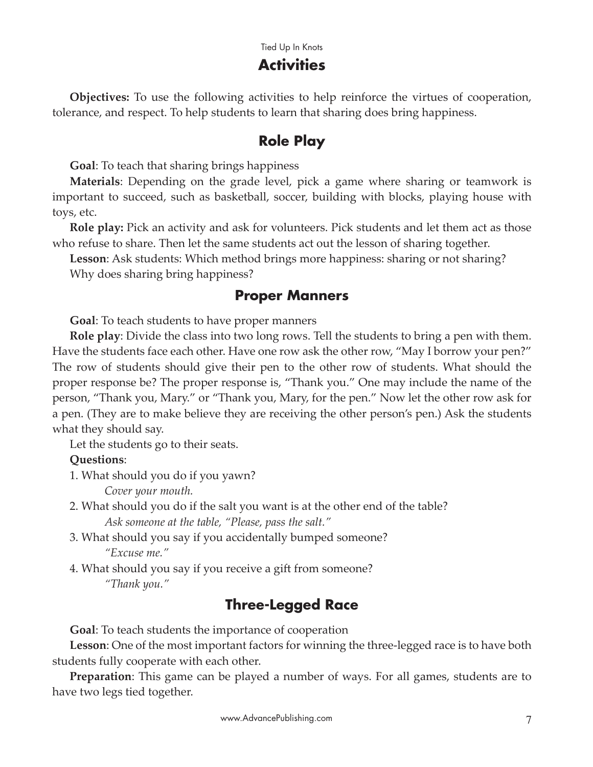#### Tied Up In Knots

#### **Activities**

**Objectives:** To use the following activities to help reinforce the virtues of cooperation, tolerance, and respect. To help students to learn that sharing does bring happiness.

#### **Role Play**

**Goal**: To teach that sharing brings happiness

**Materials**: Depending on the grade level, pick a game where sharing or teamwork is important to succeed, such as basketball, soccer, building with blocks, playing house with toys, etc.

**Role play:** Pick an activity and ask for volunteers. Pick students and let them act as those who refuse to share. Then let the same students act out the lesson of sharing together.

**Lesson**: Ask students: Which method brings more happiness: sharing or not sharing? Why does sharing bring happiness?

#### **Proper Manners**

**Goal**: To teach students to have proper manners

**Role play**: Divide the class into two long rows. Tell the students to bring a pen with them. Have the students face each other. Have one row ask the other row, "May I borrow your pen?" The row of students should give their pen to the other row of students. What should the proper response be? The proper response is, "Thank you." One may include the name of the person, "Thank you, Mary." or "Thank you, Mary, for the pen." Now let the other row ask for a pen. (They are to make believe they are receiving the other person's pen.) Ask the students what they should say.

Let the students go to their seats.

#### **Questions**:

1. What should you do if you yawn?

*Cover your mouth.*

- 2. What should you do if the salt you want is at the other end of the table? *Ask someone at the table, "Please, pass the salt."*
- 3. What should you say if you accidentally bumped someone? *"Excuse me."*
- 4. What should you say if you receive a gift from someone? *"Thank you."*

#### **Three-Legged Race**

**Goal**: To teach students the importance of cooperation

**Lesson**: One of the most important factors for winning the three-legged race is to have both students fully cooperate with each other.

**Preparation**: This game can be played a number of ways. For all games, students are to have two legs tied together.